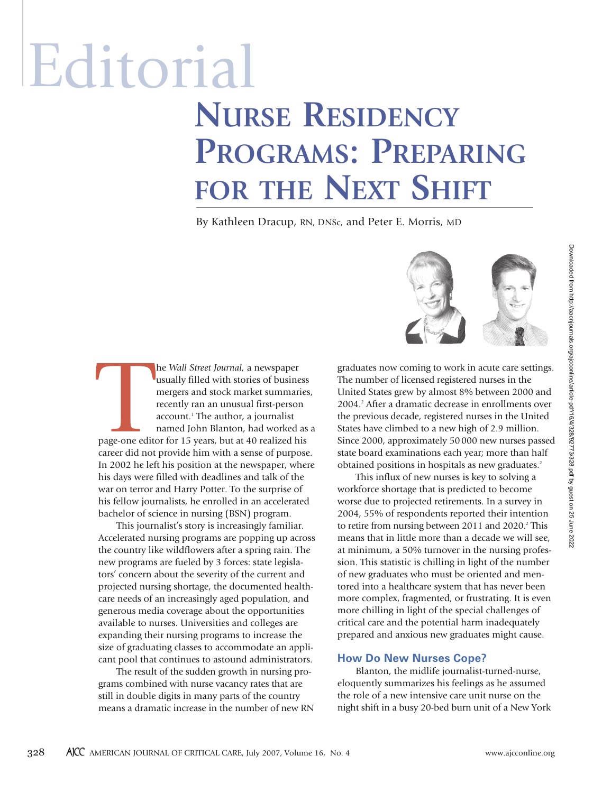# Editorial **NURSE RESIDENCY PROGRAMS: PREPARING FOR THE NEXT SHIFT**

By Kathleen Dracup, RN, DNSc, and Peter E. Morris, MD

page-one edit he *Wall Street Journal,* a newspaper usually filled with stories of business mergers and stock market summaries, recently ran an unusual first-person account.<sup>1</sup> The author, a journalist named John Blanton, had worked as a page-one editor for 15 years, but at 40 realized his career did not provide him with a sense of purpose. In 2002 he left his position at the newspaper, where his days were filled with deadlines and talk of the war on terror and Harry Potter. To the surprise of his fellow journalists, he enrolled in an accelerated bachelor of science in nursing (BSN) program.

This journalist's story is increasingly familiar. Accelerated nursing programs are popping up across the country like wildflowers after a spring rain. The new programs are fueled by 3 forces: state legislators' concern about the severity of the current and projected nursing shortage, the documented healthcare needs of an increasingly aged population, and generous media coverage about the opportunities available to nurses. Universities and colleges are expanding their nursing programs to increase the size of graduating classes to accommodate an applicant pool that continues to astound administrators.

The result of the sudden growth in nursing programs combined with nurse vacancy rates that are still in double digits in many parts of the country means a dramatic increase in the number of new RN



graduates now coming to work in acute care settings. The number of licensed registered nurses in the United States grew by almost 8% between 2000 and 2004.2 After a dramatic decrease in enrollments over the previous decade, registered nurses in the United States have climbed to a new high of 2.9 million. Since 2000, approximately 50000 new nurses passed state board examinations each year; more than half obtained positions in hospitals as new graduates.<sup>2</sup>

This influx of new nurses is key to solving a workforce shortage that is predicted to become worse due to projected retirements. In a survey in 2004, 55% of respondents reported their intention to retire from nursing between 2011 and 2020.<sup>2</sup> This means that in little more than a decade we will see, at minimum, a 50% turnover in the nursing profession. This statistic is chilling in light of the number of new graduates who must be oriented and mentored into a healthcare system that has never been more complex, fragmented, or frustrating. It is even more chilling in light of the special challenges of critical care and the potential harm inadequately prepared and anxious new graduates might cause.

#### **How Do New Nurses Cope?**

Blanton, the midlife journalist-turned-nurse, eloquently summarizes his feelings as he assumed the role of a new intensive care unit nurse on the night shift in a busy 20-bed burn unit of a New York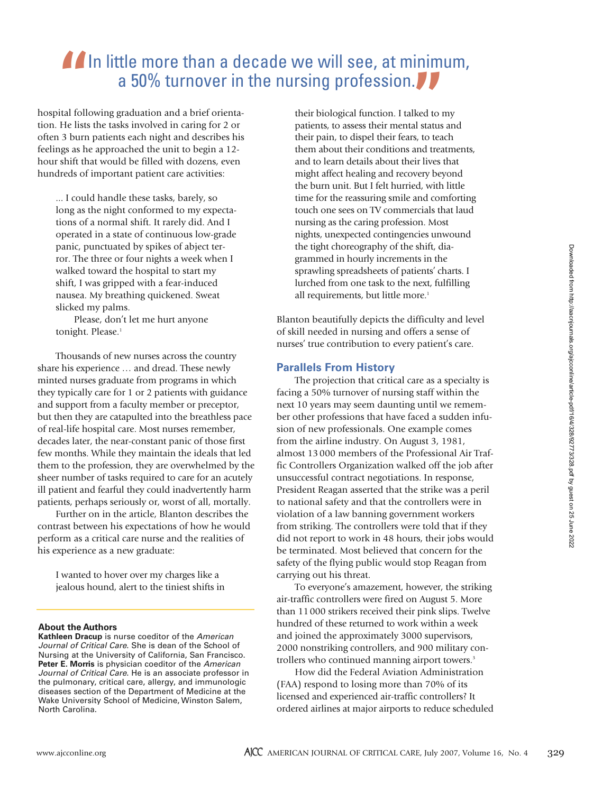## **In little more than a decade we will see, at minimum,** a 50% turnover in the nursing profession.

hospital following graduation and a brief orientation. He lists the tasks involved in caring for 2 or often 3 burn patients each night and describes his feelings as he approached the unit to begin a 12 hour shift that would be filled with dozens, even hundreds of important patient care activities:

... I could handle these tasks, barely, so long as the night conformed to my expectations of a normal shift. It rarely did. And I operated in a state of continuous low-grade panic, punctuated by spikes of abject terror. The three or four nights a week when I walked toward the hospital to start my shift, I was gripped with a fear-induced nausea. My breathing quickened. Sweat slicked my palms.

Please, don't let me hurt anyone tonight. Please.<sup>1</sup>

Thousands of new nurses across the country share his experience … and dread. These newly minted nurses graduate from programs in which they typically care for 1 or 2 patients with guidance and support from a faculty member or preceptor, but then they are catapulted into the breathless pace of real-life hospital care. Most nurses remember, decades later, the near-constant panic of those first few months. While they maintain the ideals that led them to the profession, they are overwhelmed by the sheer number of tasks required to care for an acutely ill patient and fearful they could inadvertently harm patients, perhaps seriously or, worst of all, mortally.

Further on in the article, Blanton describes the contrast between his expectations of how he would perform as a critical care nurse and the realities of his experience as a new graduate:

I wanted to hover over my charges like a jealous hound, alert to the tiniest shifts in

#### **About the Authors**

**Kathleen Dracup** is nurse coeditor of the American Journal of Critical Care. She is dean of the School of Nursing at the University of California, San Francisco. Peter E. Morris is physician coeditor of the American Journal of Critical Care. He is an associate professor in the pulmonary, critical care, allergy, and immunologic diseases section of the Department of Medicine at the Wake University School of Medicine, Winston Salem, North Carolina.

their biological function. I talked to my patients, to assess their mental status and their pain, to dispel their fears, to teach them about their conditions and treatments, and to learn details about their lives that might affect healing and recovery beyond the burn unit. But I felt hurried, with little time for the reassuring smile and comforting touch one sees on TV commercials that laud nursing as the caring profession. Most nights, unexpected contingencies unwound the tight choreography of the shift, diagrammed in hourly increments in the sprawling spreadsheets of patients' charts. I lurched from one task to the next, fulfilling all requirements, but little more.<sup>1</sup>

Blanton beautifully depicts the difficulty and level of skill needed in nursing and offers a sense of nurses' true contribution to every patient's care.

#### **Parallels From History**

The projection that critical care as a specialty is facing a 50% turnover of nursing staff within the next 10 years may seem daunting until we remember other professions that have faced a sudden infusion of new professionals. One example comes from the airline industry. On August 3, 1981, almost 13 000 members of the Professional Air Traffic Controllers Organization walked off the job after unsuccessful contract negotiations. In response, President Reagan asserted that the strike was a peril to national safety and that the controllers were in violation of a law banning government workers from striking. The controllers were told that if they did not report to work in 48 hours, their jobs would be terminated. Most believed that concern for the safety of the flying public would stop Reagan from carrying out his threat.

To everyone's amazement, however, the striking air-traffic controllers were fired on August 5. More than 11000 strikers received their pink slips. Twelve hundred of these returned to work within a week and joined the approximately 3000 supervisors, 2000 nonstriking controllers, and 900 military controllers who continued manning airport towers.<sup>3</sup>

How did the Federal Aviation Administration (FAA) respond to losing more than 70% of its licensed and experienced air-traffic controllers? It ordered airlines at major airports to reduce scheduled